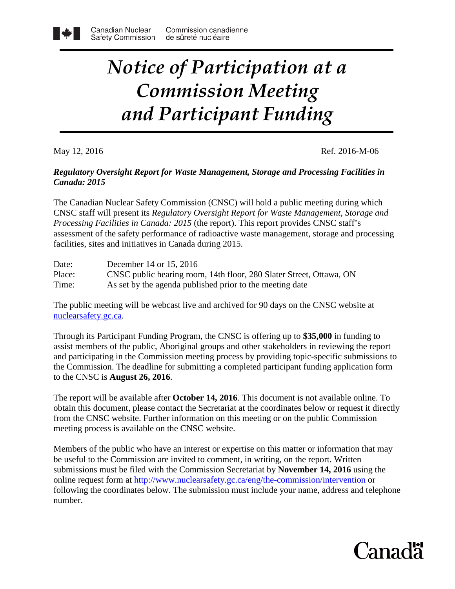## *Notice of Participation at a Commission Meeting and Participant Funding*

May 12, 2016 Ref. 2016-M-06

## *Regulatory Oversight Report for Waste Management, Storage and Processing Facilities in Canada: 2015*

The Canadian Nuclear Safety Commission (CNSC) will hold a public meeting during which CNSC staff will present its *Regulatory Oversight Report for Waste Management, Storage and Processing Facilities in Canada: 2015* (the report). This report provides CNSC staff's assessment of the safety performance of radioactive waste management, storage and processing facilities, sites and initiatives in Canada during 2015.

Date: December 14 or 15, 2016 Place: CNSC public hearing room, 14th floor, 280 Slater Street, Ottawa, ON Time: As set by the agenda published prior to the meeting date

The public meeting will be webcast live and archived for 90 days on the CNSC website at [nuclearsafety.gc.ca.](http://www.nuclearsafety.gc.ca/)

Through its Participant Funding Program, the CNSC is offering up to **\$35,000** in funding to assist members of the public, Aboriginal groups and other stakeholders in reviewing the report and participating in the Commission meeting process by providing topic-specific submissions to the Commission. The deadline for submitting a completed participant funding application form to the CNSC is **August 26, 2016**.

The report will be available after **October 14, 2016**. This document is not available online. To obtain this document, please contact the Secretariat at the coordinates below or request it directly from the CNSC website. Further information on this meeting or on the public Commission meeting process is available on the CNSC website.

Members of the public who have an interest or expertise on this matter or information that may be useful to the Commission are invited to comment, in writing, on the report. Written submissions must be filed with the Commission Secretariat by **November 14, 2016** using the online request form at<http://www.nuclearsafety.gc.ca/eng/the-commission/intervention>or following the coordinates below. The submission must include your name, address and telephone number.